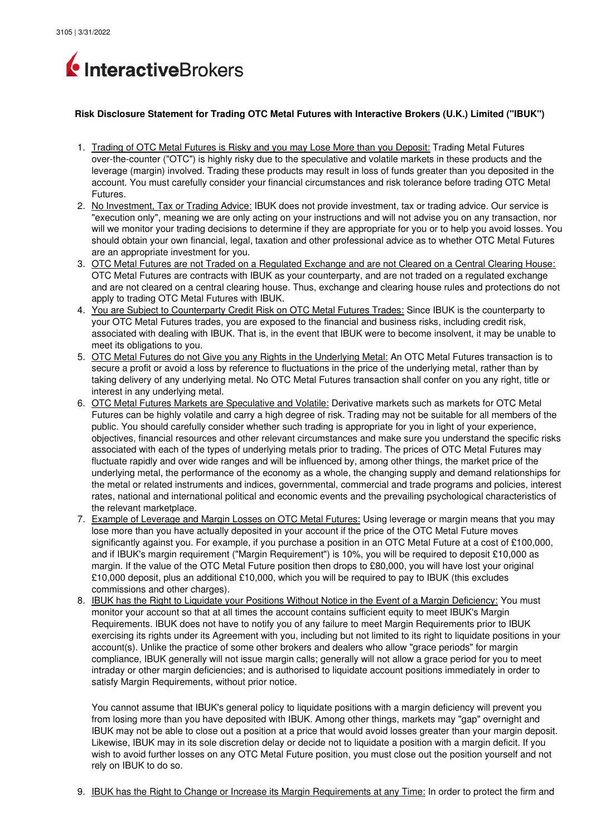

## **Risk Disclosure Statement for Trading OTC Metal Futures with Interactive Brokers (U.K.) Limited ("IBUK")**

- 1. Trading of OTC Metal Futures is Risky and you may Lose More than you Deposit: Trading Metal Futures over-the-counter ("OTC") is highly risky due to the speculative and volatile markets in these products and the leverage (margin) involved. Trading these products may result in loss of funds greater than you deposited in the account. You must carefully consider your financial circumstances and risk tolerance before trading OTC Metal Futures.
- 2. No Investment, Tax or Trading Advice: IBUK does not provide investment, tax or trading advice. Our service is "execution only", meaning we are only acting on your instructions and will not advise you on any transaction, nor will we monitor your trading decisions to determine if they are appropriate for you or to help you avoid losses. You should obtain your own financial, legal, taxation and other professional advice as to whether OTC Metal Futures are an appropriate investment for you.
- 3. OTC Metal Futures are not Traded on a Regulated Exchange and are not Cleared on a Central Clearing House: OTC Metal Futures are contracts with IBUK as your counterparty, and are not traded on a regulated exchange and are not cleared on a central clearing house. Thus, exchange and clearing house rules and protections do not apply to trading OTC Metal Futures with IBUK.
- 4. You are Subject to Counterparty Credit Risk on OTC Metal Futures Trades: Since IBUK is the counterparty to your OTC Metal Futures trades, you are exposed to the financial and business risks, including credit risk, associated with dealing with IBUK. That is, in the event that IBUK were to become insolvent, it may be unable to meet its obligations to you.
- 5. OTC Metal Futures do not Give you any Rights in the Underlying Metal: An OTC Metal Futures transaction is to secure a profit or avoid a loss by reference to fluctuations in the price of the underlying metal, rather than by taking delivery of any underlying metal. No OTC Metal Futures transaction shall confer on you any right, title or interest in any underlying metal.
- 6. OTC Metal Futures Markets are Speculative and Volatile: Derivative markets such as markets for OTC Metal Futures can be highly volatile and carry a high degree of risk. Trading may not be suitable for all members of the public. You should carefully consider whether such trading is appropriate for you in light of your experience, objectives, financial resources and other relevant circumstances and make sure you understand the specific risks associated with each of the types of underlying metals prior to trading. The prices of OTC Metal Futures may fluctuate rapidly and over wide ranges and will be influenced by, among other things, the market price of the underlying metal, the performance of the economy as a whole, the changing supply and demand relationships for the metal or related instruments and indices, governmental, commercial and trade programs and policies, interest rates, national and international political and economic events and the prevailing psychological characteristics of the relevant marketplace.
- 7. Example of Leverage and Margin Losses on OTC Metal Futures: Using leverage or margin means that you may lose more than you have actually deposited in your account if the price of the OTC Metal Future moves significantly against you. For example, if you purchase a position in an OTC Metal Future at a cost of £100,000, and if IBUK's margin requirement ("Margin Requirement") is 10%, you will be required to deposit £10,000 as margin. If the value of the OTC Metal Future position then drops to £80,000, you will have lost your original £10,000 deposit, plus an additional £10,000, which you will be required to pay to IBUK (this excludes commissions and other charges).
- 8. IBUK has the Right to Liquidate your Positions Without Notice in the Event of a Margin Deficiency: You must monitor your account so that at all times the account contains sufficient equity to meet IBUK's Margin Requirements. IBUK does not have to notify you of any failure to meet Margin Requirements prior to IBUK exercising its rights under its Agreement with you, including but not limited to its right to liquidate positions in your account(s). Unlike the practice of some other brokers and dealers who allow "grace periods" for margin compliance, IBUK generally will not issue margin calls; generally will not allow a grace period for you to meet intraday or other margin deficiencies; and is authorised to liquidate account positions immediately in order to satisfy Margin Requirements, without prior notice.

You cannot assume that IBUK's general policy to liquidate positions with a margin deficiency will prevent you from losing more than you have deposited with IBUK. Among other things, markets may "gap" overnight and IBUK may not be able to close out a position at a price that would avoid losses greater than your margin deposit. Likewise, IBUK may in its sole discretion delay or decide not to liquidate a position with a margin deficit. If you wish to avoid further losses on any OTC Metal Future position, you must close out the position yourself and not rely on IBUK to do so.

9. <u>IBUK has the Right to Change or Increase its Margin Requirements at any Time:</u> In order to protect the firm and